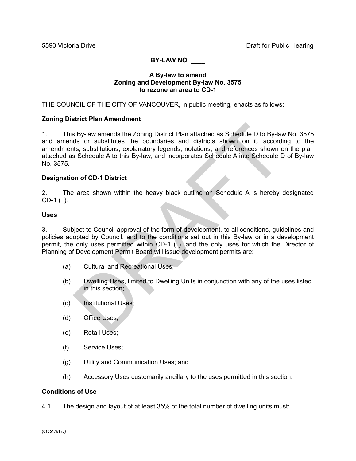# **BY-LAW NO**. \_\_\_\_

### **A By-law to amend Zoning and Development By-law No. 3575 to rezone an area to CD-1**

THE COUNCIL OF THE CITY OF VANCOUVER, in public meeting, enacts as follows:

## **Zoning District Plan Amendment**

1. This By-law amends the Zoning District Plan attached as Schedule D to By-law No. 3575 and amends or substitutes the boundaries and districts shown on it, according to the amendments, substitutions, explanatory legends, notations, and references shown on the plan attached as Schedule A to this By-law, and incorporates Schedule A into Schedule D of By-law No. 3575. SBy-law amends the Zoning District Plan attached as Schedule D to By-lay<br>ds or substitutes the boundaries and districts shown on it, accordits, substitutions, explanatory legends, notations, and references shown considers

## **Designation of CD-1 District**

2. The area shown within the heavy black outline on Schedule A is hereby designated CD-1 ( ).

#### **Uses**

3. Subject to Council approval of the form of development, to all conditions, guidelines and policies adopted by Council, and to the conditions set out in this By-law or in a development permit, the only uses permitted within CD-1 ( ), and the only uses for which the Director of Planning of Development Permit Board will issue development permits are:

- (a) Cultural and Recreational Uses;
- (b) Dwelling Uses, limited to Dwelling Units in conjunction with any of the uses listed in this section;
- (c) Institutional Uses;
- (d) Office Uses;
- (e) Retail Uses;
- (f) Service Uses;
- (g) Utility and Communication Uses; and
- (h) Accessory Uses customarily ancillary to the uses permitted in this section.

## **Conditions of Use**

4.1 The design and layout of at least 35% of the total number of dwelling units must: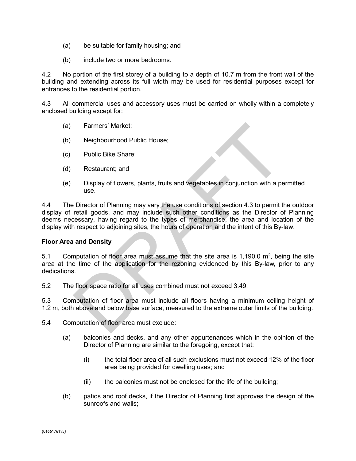- (a) be suitable for family housing; and
- (b) include two or more bedrooms.

4.2 No portion of the first storey of a building to a depth of 10.7 m from the front wall of the building and extending across its full width may be used for residential purposes except for entrances to the residential portion.

4.3 All commercial uses and accessory uses must be carried on wholly within a completely enclosed building except for:

- (a) Farmers' Market;
- (b) Neighbourhood Public House;
- (c) Public Bike Share;
- (d) Restaurant; and
- (e) Display of flowers, plants, fruits and vegetables in conjunction with a permitted use.

4.4 The Director of Planning may vary the use conditions of section 4.3 to permit the outdoor display of retail goods, and may include such other conditions as the Director of Planning deems necessary, having regard to the types of merchandise, the area and location of the display with respect to adjoining sites, the hours of operation and the intent of this By-law. Farmers' Market;<br>
Neighbourhood Public House;<br>
Public Bike Share;<br>
Restaurant; and<br>
Display of flowers, plants, fruits and vegetables in conjunction with a pe<br>
use.<br>
Director of Planning may vary the use conditions of sec

#### **Floor Area and Density**

5.1 Computation of floor area must assume that the site area is 1,190.0  $m^2$ , being the site area at the time of the application for the rezoning evidenced by this By-law, prior to any dedications.

5.2 The floor space ratio for all uses combined must not exceed 3.49.

5.3 Computation of floor area must include all floors having a minimum ceiling height of 1.2 m, both above and below base surface, measured to the extreme outer limits of the building.

5.4 Computation of floor area must exclude:

- (a) balconies and decks, and any other appurtenances which in the opinion of the Director of Planning are similar to the foregoing, except that:
	- (i) the total floor area of all such exclusions must not exceed 12% of the floor area being provided for dwelling uses; and
	- (ii) the balconies must not be enclosed for the life of the building;
- (b) patios and roof decks, if the Director of Planning first approves the design of the sunroofs and walls;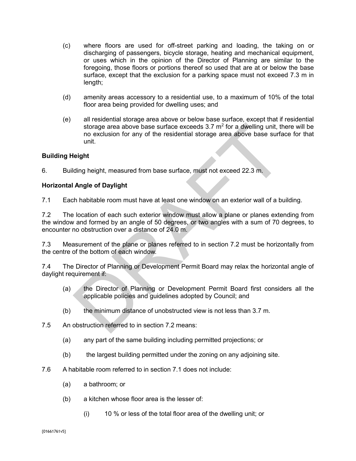- (c) where floors are used for off-street parking and loading, the taking on or discharging of passengers, bicycle storage, heating and mechanical equipment, or uses which in the opinion of the Director of Planning are similar to the foregoing, those floors or portions thereof so used that are at or below the base surface, except that the exclusion for a parking space must not exceed 7.3 m in length;
- (d) amenity areas accessory to a residential use, to a maximum of 10% of the total floor area being provided for dwelling uses; and
- (e) all residential storage area above or below base surface, except that if residential storage area above base surface exceeds  $3.7 \text{ m}^2$  for a dwelling unit, there will be no exclusion for any of the residential storage area above base surface for that unit. storage area above base surface exceeds 3.7 m<sup>2</sup> for a dwelling unit, the nonexclusion for any of the residential storage area above base surfametion.<br>
unit.<br>
unit.<br> **Angle of Daylight**<br>
ding height, measured from base sur

# **Building Height**

6. Building height, measured from base surface, must not exceed 22.3 m.

## **Horizontal Angle of Daylight**

7.1 Each habitable room must have at least one window on an exterior wall of a building.

7.2 The location of each such exterior window must allow a plane or planes extending from the window and formed by an angle of 50 degrees, or two angles with a sum of 70 degrees, to encounter no obstruction over a distance of 24.0 m.

7.3 Measurement of the plane or planes referred to in section 7.2 must be horizontally from the centre of the bottom of each window.

7.4 The Director of Planning or Development Permit Board may relax the horizontal angle of daylight requirement if:

- (a) the Director of Planning or Development Permit Board first considers all the applicable policies and guidelines adopted by Council; and
- (b) the minimum distance of unobstructed view is not less than 3.7 m.
- 7.5 An obstruction referred to in section 7.2 means:
	- (a) any part of the same building including permitted projections; or
	- (b) the largest building permitted under the zoning on any adjoining site.
- 7.6 A habitable room referred to in section 7.1 does not include:
	- (a) a bathroom; or
	- (b) a kitchen whose floor area is the lesser of:
		- (i) 10 % or less of the total floor area of the dwelling unit; or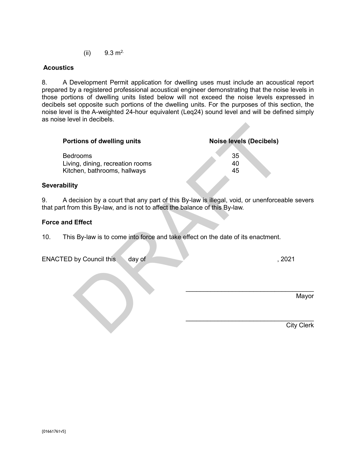(ii)  $9.3 \text{ m}^2$ .

8. A Development Permit application for dwelling uses must include an acoustical report prepared by a registered professional acoustical engineer demonstrating that the noise levels in those portions of dwelling units listed below will not exceed the noise levels expressed in decibels set opposite such portions of the dwelling units. For the purposes of this section, the noise level is the A-weighted 24-hour equivalent (Leq24) sound level and will be defined simply as noise level in decibels.

| Portions of dwelling units                                                          | <b>Noise levels (Decibels)</b>                                                               |
|-------------------------------------------------------------------------------------|----------------------------------------------------------------------------------------------|
| <b>Bedrooms</b><br>Living, dining, recreation rooms<br>Kitchen, bathrooms, hallways | 35<br>40<br>45                                                                               |
| ability                                                                             |                                                                                              |
| art from this By-law, and is not to affect the balance of this By-law.              | A decision by a court that any part of this By-law is illegal, void, or unenforceable severs |
| and Effect                                                                          |                                                                                              |
| This By-law is to come into force and take effect on the date of its enactment.     |                                                                                              |
| day of<br>TED by Council this                                                       | , 2021                                                                                       |
|                                                                                     | Mayor                                                                                        |
|                                                                                     | <b>City Clerk</b>                                                                            |

## **Severability**

9. A decision by a court that any part of this By-law is illegal, void, or unenforceable severs that part from this By-law, and is not to affect the balance of this By-law.

## **Force and Effect**

10. This By-law is to come into force and take effect on the date of its enactment.

ENACTED by Council this day of , 2021